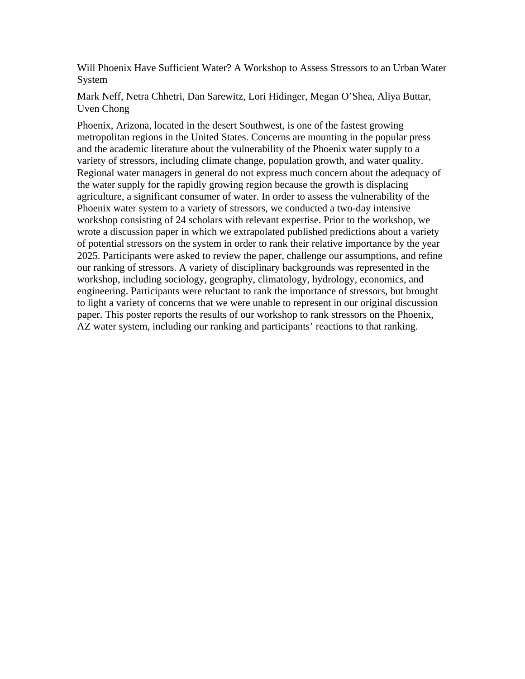Will Phoenix Have Sufficient Water? A Workshop to Assess Stressors to an Urban Water System

Mark Neff, Netra Chhetri, Dan Sarewitz, Lori Hidinger, Megan O'Shea, Aliya Buttar, Uven Chong

Phoenix, Arizona, located in the desert Southwest, is one of the fastest growing metropolitan regions in the United States. Concerns are mounting in the popular press and the academic literature about the vulnerability of the Phoenix water supply to a variety of stressors, including climate change, population growth, and water quality. Regional water managers in general do not express much concern about the adequacy of the water supply for the rapidly growing region because the growth is displacing agriculture, a significant consumer of water. In order to assess the vulnerability of the Phoenix water system to a variety of stressors, we conducted a two-day intensive workshop consisting of 24 scholars with relevant expertise. Prior to the workshop, we wrote a discussion paper in which we extrapolated published predictions about a variety of potential stressors on the system in order to rank their relative importance by the year 2025. Participants were asked to review the paper, challenge our assumptions, and refine our ranking of stressors. A variety of disciplinary backgrounds was represented in the workshop, including sociology, geography, climatology, hydrology, economics, and engineering. Participants were reluctant to rank the importance of stressors, but brought to light a variety of concerns that we were unable to represent in our original discussion paper. This poster reports the results of our workshop to rank stressors on the Phoenix, AZ water system, including our ranking and participants' reactions to that ranking.